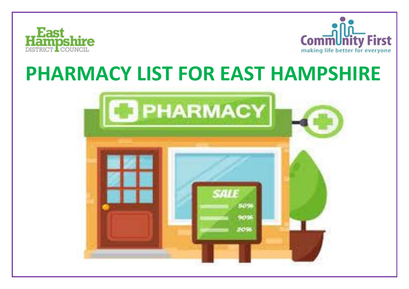



## **PHARMACY LIST FOR EAST HAMPSHIRE**

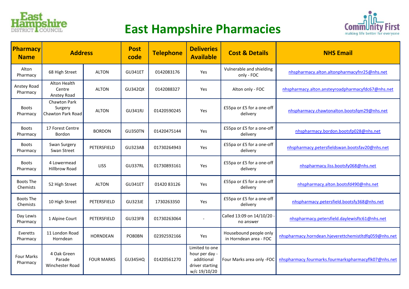

## **East Hampshire Pharmacies**



| Pharmacy<br><b>Name</b>  | <b>Address</b>                               |                   | <b>Post</b><br>code | <b>Telephone</b> | <b>Deliveries</b><br><b>Available</b>                                             | <b>Cost &amp; Details</b>                        | <b>NHS Email</b>                                      |
|--------------------------|----------------------------------------------|-------------------|---------------------|------------------|-----------------------------------------------------------------------------------|--------------------------------------------------|-------------------------------------------------------|
| Alton<br>Pharmacy        | 68 High Street                               | <b>ALTON</b>      | <b>GU341ET</b>      | 0142083176       | Yes                                                                               | Vulnerable and shielding<br>only - FOC           | nhspharmacy.alton.altonpharmacyfnr25@nhs.net          |
| Anstey Road<br>Pharmacy  | Alton Health<br>Centre<br>Anstey Road        | <b>ALTON</b>      | <b>GU342QX</b>      | 0142088327       | Yes                                                                               | Alton only - FOC                                 | nhspharmacy.alton.ansteyroadpharmacyfdc67@nhs.net     |
| <b>Boots</b><br>Pharmacy | Chawton Park<br>Surgery<br>Chawton Park Road | <b>ALTON</b>      | <b>GU341RJ</b>      | 01420590245      | Yes                                                                               | £55pa or £5 for a one-off<br>delivery            | nhspharmacy.chawtonalton.bootsfgm29@nhs.net           |
| <b>Boots</b><br>Pharmacy | 17 Forest Centre<br>Bordon                   | <b>BORDON</b>     | GU350TN             | 01420475144      | Yes                                                                               | £55pa or £5 for a one-off<br>delivery            | nhspharmacy.bordon.bootsfp028@nhs.net                 |
| Boots<br>Pharmacy        | Swan Surgery<br>Swan Street                  | PETERSFIELD       | GU323AB             | 01730264943      | Yes                                                                               | £55pa or £5 for a one-off<br>delivery            | nhspharmacy.petersfieldswan.bootsfav20@nhs.net        |
| Boots<br>Pharmacy        | 4 Lowermead<br><b>Hillbrow Road</b>          | <b>LISS</b>       | <b>GU337RL</b>      | 01730893161      | Yes                                                                               | £55pa or £5 for a one-off<br>delivery            | nhspharmacy.liss.bootsfy068@nhs.net                   |
| Boots The<br>Chemists    | 52 High Street                               | <b>ALTON</b>      | <b>GU341ET</b>      | 01420 83126      | Yes                                                                               | £55pa or £5 for a one-off<br>delivery            | nhspharmacy.alton.bootsfd490@nhs.net                  |
| Boots The<br>Chemists    | 10 High Street                               | PETERSFIELD       | <b>GU323JE</b>      | 1730263350       | Yes                                                                               | £55pa or £5 for a one-off<br>delivery            | nhspharmacy.petersfield.bootsfy368@nhs.net            |
| Day Lewis<br>Pharmacy    | 1 Alpine Court                               | PETERSFIELD       | GU323FB             | 01730263064      |                                                                                   | Called 13:09 on 14/10/20 -<br>no answer          | nhspharmacy.petersfield.daylewisftc61@nhs.net         |
| Everetts<br>Pharmacy     | 11 London Road<br>Horndean                   | <b>HORNDEAN</b>   | PO80BN              | 02392592166      | Yes                                                                               | Housebound people only<br>in Horndean area - FOC | nhspharmacy.horndean.hjeverettchemistltdfq059@nhs.net |
| Four Marks<br>Pharmacy   | 4 Oak Green<br>Parade<br>Winchester Road     | <b>FOUR MARKS</b> | <b>GU345HQ</b>      | 01420561270      | Limited to one<br>hour per day -<br>additional<br>driver starting<br>w/c 19/10/20 | Four Marks area only -FOC                        | nhspharmacy.fourmarks.fourmarkspharmacyflk07@nhs.net  |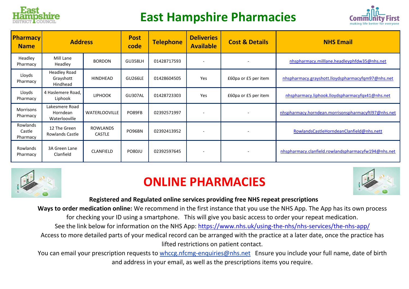

## **East Hampshire Pharmacies**



| <b>Pharmacy</b><br><b>Name</b> | <b>Address</b>                               |                                  | <b>Post</b><br>code | <b>Telephone</b> | <b>Deliveries</b><br><b>Available</b> | <b>Cost &amp; Details</b> | <b>NHS Email</b>                                    |
|--------------------------------|----------------------------------------------|----------------------------------|---------------------|------------------|---------------------------------------|---------------------------|-----------------------------------------------------|
| Headley<br>Pharmacy            | Mill Lane<br>Headley                         | <b>BORDON</b>                    | <b>GU358LH</b>      | 01428717593      | $\overline{\phantom{a}}$              |                           | nhspharmacy.milllane.headleyphfdw35@nhs.net         |
| Lloyds<br>Pharmacy             | <b>Headley Road</b><br>Grayshott<br>Hindhead | HINDHEAD                         | <b>GU266LE</b>      | 01428604505      | <b>Yes</b>                            | £60pa or £5 per item      | nhspharmacy.grayshott.lloydspharmacyfqm97@nhs.net   |
| Lloyds<br>Pharmacy             | 4 Haslemere Road,<br>Liphook                 | <b>LIPHOOK</b>                   | GU307AL             | 01428723303      | Yes                                   | £60pa or £5 per item      | nhspharmacy.liphook.lloydspharmacyfqx41@nhs.net     |
| Morrisons<br>Pharmacy          | Lakesmere Road<br>Horndean<br>Waterlooville  | <b>WATERLOOVILLE</b>             | PO89FB              | 02392571997      |                                       |                           | nhspharmacy.horndean.morrisonspharmacyftl97@nhs.net |
| Rowlands<br>Castle<br>Pharmacy | 12 The Green<br>Rowlands Castle              | <b>ROWLANDS</b><br><b>CASTLE</b> | PO96BN              | 02392413952      |                                       |                           | RowlandsCastleHorndeanClanfield@nhs.nett            |
| Rowlands<br>Pharmacy           | 3A Green Lane<br>Clanfield                   | CLANFIELD                        | <b>PO80JU</b>       | 02392597645      | $\overline{\phantom{a}}$              |                           | nhspharmacy.clanfield.rowlandspharmacyfw194@nhs.net |



## **ONLINE PHARMACIES**



**Registered and Regulated online services providing free NHS repeat prescriptions**

**Ways to order medication online:** We recommend in the first instance that you use the NHS App. The App has its own process for checking your ID using a smartphone. This will give you basic access to order your repeat medication.

See the link below for information on the NHS App:<https://www.nhs.uk/using-the-nhs/nhs-services/the-nhs-app/>

Access to more detailed parts of your medical record can be arranged with the practice at a later date, once the practice has lifted restrictions on patient contact.

You can email your prescription requests to whccg.nfcmg-enquiries@nhs.net Ensure you include your full name, date of birth and address in your email, as well as the prescriptions items you require.